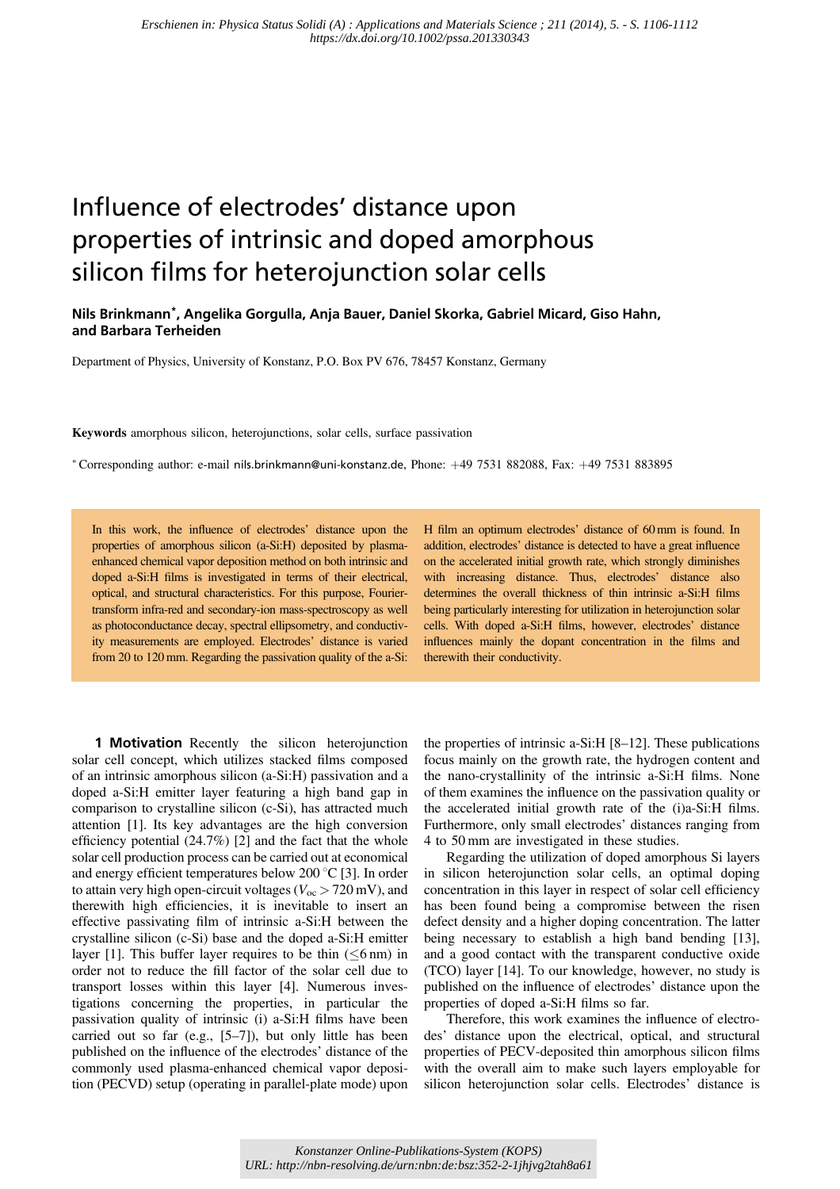## Influence of electrodes' distance upon properties of intrinsic and doped amorphous silicon films for heterojunction solar cells

## Nils Brinkmann\*, Angelika Gorgulla, Anja Bauer, Daniel Skorka, Gabriel Micard, Giso Hahn, and Barbara Terheiden

Department of Physics, University of Konstanz, P.O. Box PV 676, 78457 Konstanz, Germany

Keywords amorphous silicon, heterojunctions, solar cells, surface passivation

\*Corresponding author: e-mail nils.brinkmann@uni-konstanz.de, Phone: +49 7531 882088, Fax: +49 7531 883895

In this work, the influence of electrodes' distance upon the properties of amorphous silicon (a-Si:H) deposited by plasmaenhanced chemical vapor deposition method on both intrinsic and doped a-Si:H films is investigated in terms of their electrical, optical, and structural characteristics. For this purpose, Fouriertransform infra-red and secondary-ion mass-spectroscopy as well as photoconductance decay, spectral ellipsometry, and conductivity measurements are employed. Electrodes' distance is varied from 20 to 120 mm. Regarding the passivation quality of the a-Si: H film an optimum electrodes' distance of 60 mm is found. In addition, electrodes' distance is detected to have a great influence on the accelerated initial growth rate, which strongly diminishes with increasing distance. Thus, electrodes' distance also determines the overall thickness of thin intrinsic a-Si:H films being particularly interesting for utilization in heterojunction solar cells. With doped a-Si:H films, however, electrodes' distance influences mainly the dopant concentration in the films and therewith their conductivity.

**1 Motivation** Recently the silicon heterojunction solar cell concept, which utilizes stacked films composed of an intrinsic amorphous silicon (a-Si:H) passivation and a doped a-Si:H emitter layer featuring a high band gap in comparison to crystalline silicon (c-Si), has attracted much attention [1]. Its key advantages are the high conversion efficiency potential (24.7%) [2] and the fact that the whole solar cell production process can be carried out at economical and energy efficient temperatures below 200  $^{\circ}$ C [3]. In order to attain very high open-circuit voltages ( $V_{\text{oc}}$  > 720 mV), and therewith high efficiencies, it is inevitable to insert an effective passivating film of intrinsic a-Si:H between the crystalline silicon (c-Si) base and the doped a-Si:H emitter layer [1]. This buffer layer requires to be thin  $(\leq 6 \text{ nm})$  in order not to reduce the fill factor of the solar cell due to transport losses within this layer [4]. Numerous investigations concerning the properties, in particular the passivation quality of intrinsic (i) a-Si:H films have been carried out so far (e.g., [5–7]), but only little has been published on the influence of the electrodes' distance of the commonly used plasma-enhanced chemical vapor deposition (PECVD) setup (operating in parallel-plate mode) upon

the properties of intrinsic a-Si:H [8–12]. These publications focus mainly on the growth rate, the hydrogen content and the nano-crystallinity of the intrinsic a-Si:H films. None of them examines the influence on the passivation quality or the accelerated initial growth rate of the (i)a-Si:H films. Furthermore, only small electrodes' distances ranging from 4 to 50 mm are investigated in these studies.

Regarding the utilization of doped amorphous Si layers in silicon heterojunction solar cells, an optimal doping concentration in this layer in respect of solar cell efficiency has been found being a compromise between the risen defect density and a higher doping concentration. The latter being necessary to establish a high band bending [13], and a good contact with the transparent conductive oxide (TCO) layer [14]. To our knowledge, however, no study is published on the influence of electrodes' distance upon the properties of doped a-Si:H films so far.

Therefore, this work examines the influence of electrodes' distance upon the electrical, optical, and structural properties of PECV-deposited thin amorphous silicon films with the overall aim to make such layers employable for silicon heterojunction solar cells. Electrodes' distance is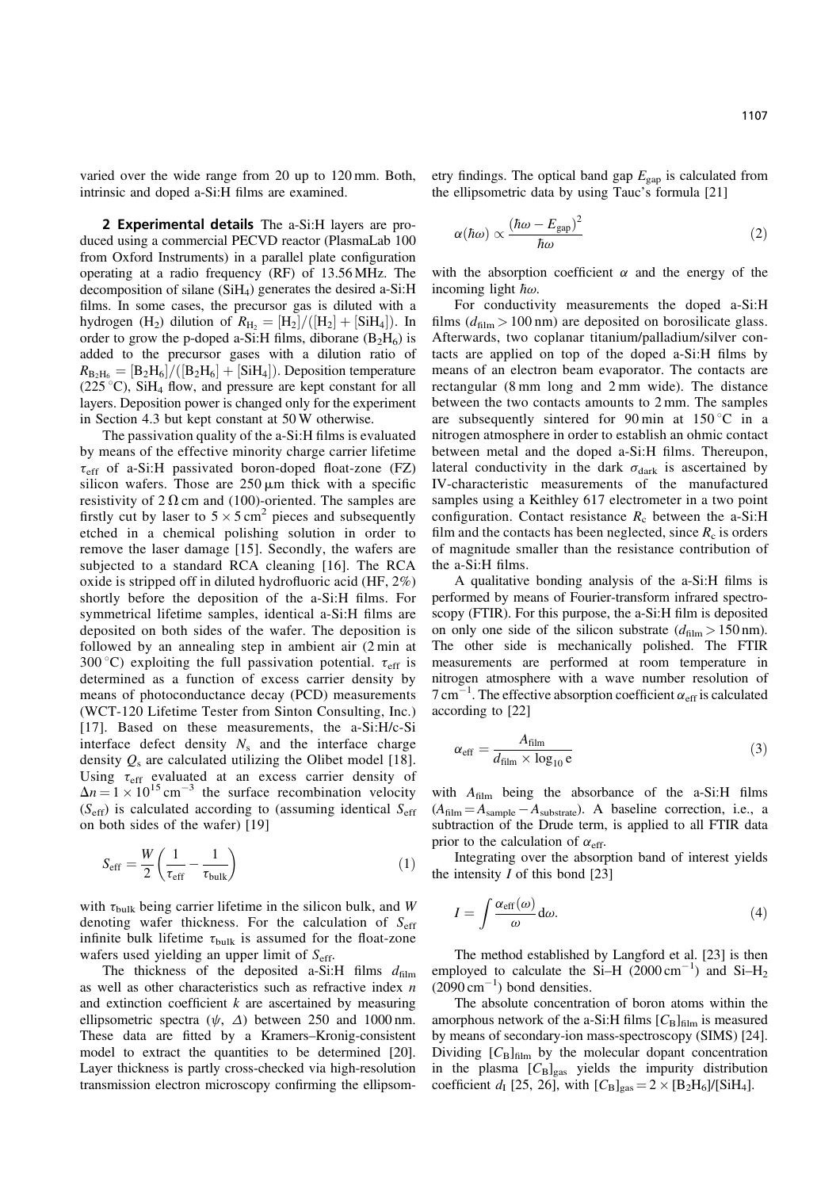varied over the wide range from 20 up to 120 mm. Both, intrinsic and doped a-Si:H films are examined.

2 Experimental details The a-Si:H layers are produced using a commercial PECVD reactor (PlasmaLab 100 from Oxford Instruments) in a parallel plate configuration operating at a radio frequency (RF) of 13.56 MHz. The decomposition of silane  $(SiH_4)$  generates the desired a-Si:H films. In some cases, the precursor gas is diluted with a hydrogen (H<sub>2</sub>) dilution of  $R_{\text{H}_2} = [\text{H}_2]/([\text{H}_2] + [\text{SiH}_4])$ . In order to grow the p-doped a-Si:H films, diborane  $(B_2H_6)$  is added to the precursor gases with a dilution ratio of  $R_{\text{B}_2\text{H}_6}=[\text{B}_2\text{H}_6]/([\text{B}_2\text{H}_6]+[\text{SiH}_4])$ . Deposition temperature  $(225 \degree C)$ , SiH<sub>4</sub> flow, and pressure are kept constant for all layers. Deposition power is changed only for the experiment in Section 4.3 but kept constant at 50 W otherwise.

The passivation quality of the a-Si:H films is evaluated by means of the effective minority charge carrier lifetime  $\tau_{\rm eff}$  of a-Si:H passivated boron-doped float-zone (FZ) silicon wafers. Those are  $250 \mu m$  thick with a specific resistivity of  $2 \Omega$  cm and (100)-oriented. The samples are firstly cut by laser to  $5 \times 5$  cm<sup>2</sup> pieces and subsequently etched in a chemical polishing solution in order to remove the laser damage [15]. Secondly, the wafers are subjected to a standard RCA cleaning [16]. The RCA oxide is stripped off in diluted hydrofluoric acid (HF, 2%) shortly before the deposition of the a-Si:H films. For symmetrical lifetime samples, identical a-Si:H films are deposited on both sides of the wafer. The deposition is followed by an annealing step in ambient air (2 min at 300 °C) exploiting the full passivation potential.  $\tau_{\text{eff}}$  is determined as a function of excess carrier density by means of photoconductance decay (PCD) measurements (WCT-120 Lifetime Tester from Sinton Consulting, Inc.) [17]. Based on these measurements, the a-Si:H/c-Si interface defect density  $N_s$  and the interface charge density  $Q_s$  are calculated utilizing the Olibet model [18]. Using  $\tau_{\rm eff}$  evaluated at an excess carrier density of  $\Delta n = 1 \times 10^{15}$  cm<sup>-3</sup> the surface recombination velocity  $(S_{\text{eff}})$  is calculated according to (assuming identical  $S_{\text{eff}}$ on both sides of the wafer) [19]

$$
S_{\rm eff} = \frac{W}{2} \left( \frac{1}{\tau_{\rm eff}} - \frac{1}{\tau_{\rm bulk}} \right) \tag{1}
$$

with  $\tau_{\text{bulk}}$  being carrier lifetime in the silicon bulk, and W denoting wafer thickness. For the calculation of  $S_{\text{eff}}$ infinite bulk lifetime  $\tau_{\text{bulk}}$  is assumed for the float-zone wafers used yielding an upper limit of  $S_{\text{eff}}$ .

The thickness of the deposited a-Si:H films  $d_{\text{film}}$ as well as other characteristics such as refractive index  $n$ and extinction coefficient  $k$  are ascertained by measuring ellipsometric spectra  $(\psi, \Delta)$  between 250 and 1000 nm. These data are fitted by a Kramers–Kronig-consistent model to extract the quantities to be determined [20]. Layer thickness is partly cross-checked via high-resolution transmission electron microscopy confirming the ellipsometry findings. The optical band gap  $E_{\text{gap}}$  is calculated from the ellipsometric data by using Tauc's formula [21]

$$
\alpha(\hbar\omega) \propto \frac{(\hbar\omega - E_{\rm gap})^2}{\hbar\omega} \tag{2}
$$

with the absorption coefficient  $\alpha$  and the energy of the incoming light  $\overline{\hbar}\omega$ .

For conductivity measurements the doped a-Si:H films  $(d_{\text{film}} > 100 \text{ nm})$  are deposited on borosilicate glass. Afterwards, two coplanar titanium/palladium/silver contacts are applied on top of the doped a-Si:H films by means of an electron beam evaporator. The contacts are rectangular (8 mm long and 2 mm wide). The distance between the two contacts amounts to 2 mm. The samples are subsequently sintered for 90 min at  $150^{\circ}$ C in a nitrogen atmosphere in order to establish an ohmic contact between metal and the doped a-Si:H films. Thereupon, lateral conductivity in the dark  $\sigma_{dark}$  is ascertained by IV-characteristic measurements of the manufactured samples using a Keithley 617 electrometer in a two point configuration. Contact resistance  $R_c$  between the a-Si:H film and the contacts has been neglected, since  $R_c$  is orders of magnitude smaller than the resistance contribution of the a-Si:H films.

A qualitative bonding analysis of the a-Si:H films is performed by means of Fourier-transform infrared spectroscopy (FTIR). For this purpose, the a-Si:H film is deposited on only one side of the silicon substrate  $(d_{\text{film}} > 150 \text{ nm})$ . The other side is mechanically polished. The FTIR measurements are performed at room temperature in nitrogen atmosphere with a wave number resolution of  $7 \text{ cm}^{-1}$ . The effective absorption coefficient  $\alpha_{\text{eff}}$  is calculated according to [22]

$$
\alpha_{\rm eff} = \frac{A_{\rm film}}{d_{\rm film} \times \log_{10} e} \tag{3}
$$

with  $A_{\text{film}}$  being the absorbance of the a-Si:H films  $(A<sub>film</sub> = A<sub>sample</sub> - A<sub>substrate</sub>)$ . A baseline correction, i.e., a subtraction of the Drude term, is applied to all FTIR data prior to the calculation of  $\alpha_{\text{eff}}$ .

Integrating over the absorption band of interest yields the intensity  $I$  of this bond [23]

$$
I = \int \frac{\alpha_{\rm eff}(\omega)}{\omega} \, \mathrm{d}\omega. \tag{4}
$$

The method established by Langford et al. [23] is then employed to calculate the Si-H  $(2000 \text{ cm}^{-1})$  and Si-H<sub>2</sub>  $(2090 \text{ cm}^{-1})$  bond densities.

The absolute concentration of boron atoms within the amorphous network of the a-Si:H films  $[C_B]_{\text{film}}$  is measured by means of secondary-ion mass-spectroscopy (SIMS) [24]. Dividing  $[C_B]_{\text{film}}$  by the molecular dopant concentration in the plasma  $[C_B]_{\text{gas}}$  yields the impurity distribution coefficient  $d_{\rm I}$  [25, 26], with  $[C_{\rm B}]_{\rm gas} = 2 \times [B_2 H_6]/[SiH_4]$ .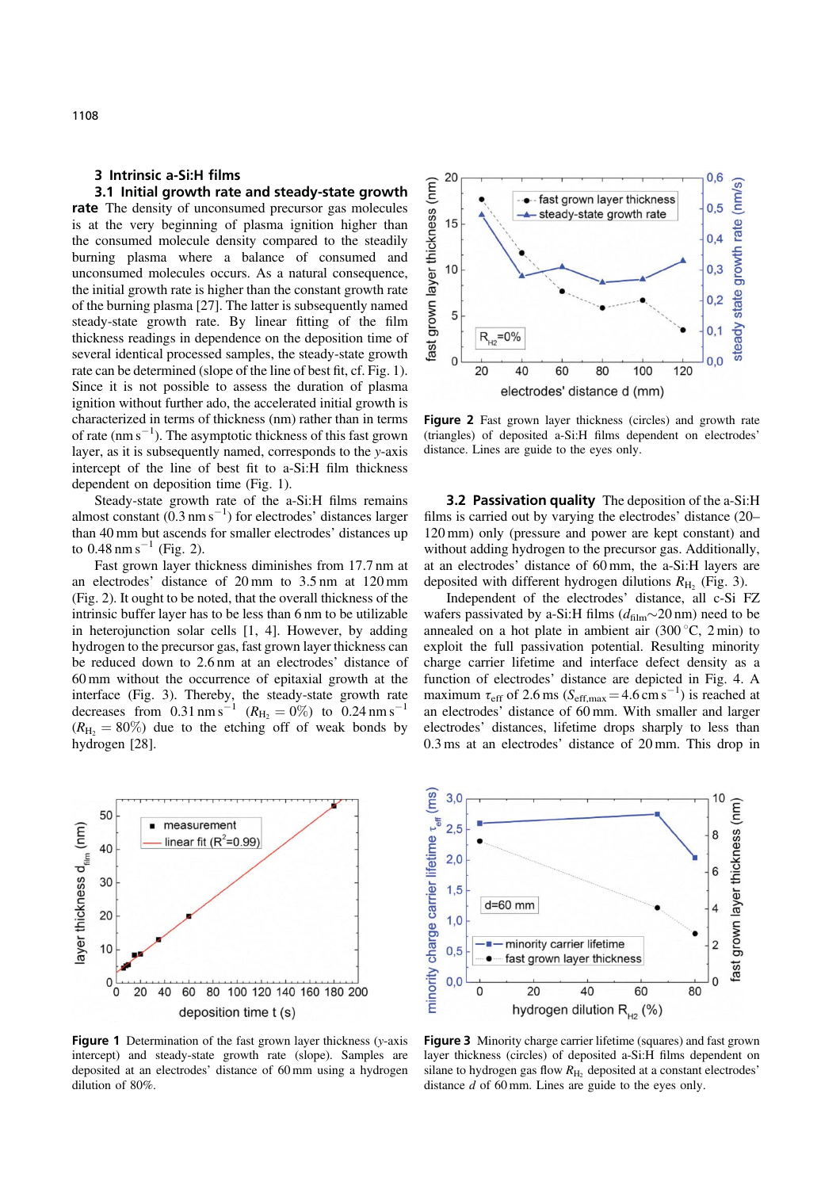## 3 Intrinsic a-Si:H films

3.1 Initial growth rate and steady-state growth rate The density of unconsumed precursor gas molecules is at the very beginning of plasma ignition higher than the consumed molecule density compared to the steadily burning plasma where a balance of consumed and unconsumed molecules occurs. As a natural consequence, the initial growth rate is higher than the constant growth rate of the burning plasma [27]. The latter is subsequently named steady-state growth rate. By linear fitting of the film thickness readings in dependence on the deposition time of several identical processed samples, the steady-state growth rate can be determined (slope of the line of best fit, cf. Fig. 1). Since it is not possible to assess the duration of plasma ignition without further ado, the accelerated initial growth is characterized in terms of thickness (nm) rather than in terms of rate  $(nm s^{-1})$ . The asymptotic thickness of this fast grown layer, as it is subsequently named, corresponds to the y-axis intercept of the line of best fit to a-Si:H film thickness dependent on deposition time (Fig. 1).

Steady-state growth rate of the a-Si:H films remains almost constant  $(0.3 \text{ nm s}^{-1})$  for electrodes' distances larger than 40 mm but ascends for smaller electrodes' distances up to  $0.48 \text{ nm s}^{-1}$  (Fig. 2).

Fast grown layer thickness diminishes from 17.7 nm at an electrodes' distance of 20 mm to 3.5 nm at 120 mm (Fig. 2). It ought to be noted, that the overall thickness of the intrinsic buffer layer has to be less than 6 nm to be utilizable in heterojunction solar cells [1, 4]. However, by adding hydrogen to the precursor gas, fast grown layer thickness can be reduced down to 2.6 nm at an electrodes' distance of 60 mm without the occurrence of epitaxial growth at the interface (Fig. 3). Thereby, the steady-state growth rate decreases from  $0.31 \text{ nm s}^{-1}$  ( $R_{\text{H}_2} = 0\%$ ) to  $0.24 \text{ nm s}^{-1}$  $(R_{\text{H}_2} = 80\%)$  due to the etching off of weak bonds by hydrogen [28].



Figure 1 Determination of the fast grown layer thickness (y-axis intercept) and steady-state growth rate (slope). Samples are deposited at an electrodes' distance of 60 mm using a hydrogen dilution of 80%.



Figure 2 Fast grown layer thickness (circles) and growth rate (triangles) of deposited a-Si:H films dependent on electrodes' distance. Lines are guide to the eyes only.

**3.2 Passivation quality** The deposition of the a-Si:H films is carried out by varying the electrodes' distance (20– 120 mm) only (pressure and power are kept constant) and without adding hydrogen to the precursor gas. Additionally, at an electrodes' distance of 60 mm, the a-Si:H layers are deposited with different hydrogen dilutions  $R_{\text{H}_2}$  (Fig. 3).

Independent of the electrodes' distance, all c-Si FZ wafers passivated by a-Si:H films  $(d_{\text{film}} \sim 20 \text{ nm})$  need to be annealed on a hot plate in ambient air  $(300\degree\text{C}, 2 \text{min})$  to exploit the full passivation potential. Resulting minority charge carrier lifetime and interface defect density as a function of electrodes' distance are depicted in Fig. 4. A maximum  $\tau_{\text{eff}}$  of 2.6 ms ( $S_{\text{eff,max}} = 4.6 \text{ cm s}^{-1}$ ) is reached at an electrodes' distance of 60 mm. With smaller and larger electrodes' distances, lifetime drops sharply to less than 0.3 ms at an electrodes' distance of 20 mm. This drop in



Figure 3 Minority charge carrier lifetime (squares) and fast grown layer thickness (circles) of deposited a-Si:H films dependent on silane to hydrogen gas flow  $R_{\text{H}_2}$  deposited at a constant electrodes' distance  $d$  of 60 mm. Lines are guide to the eyes only.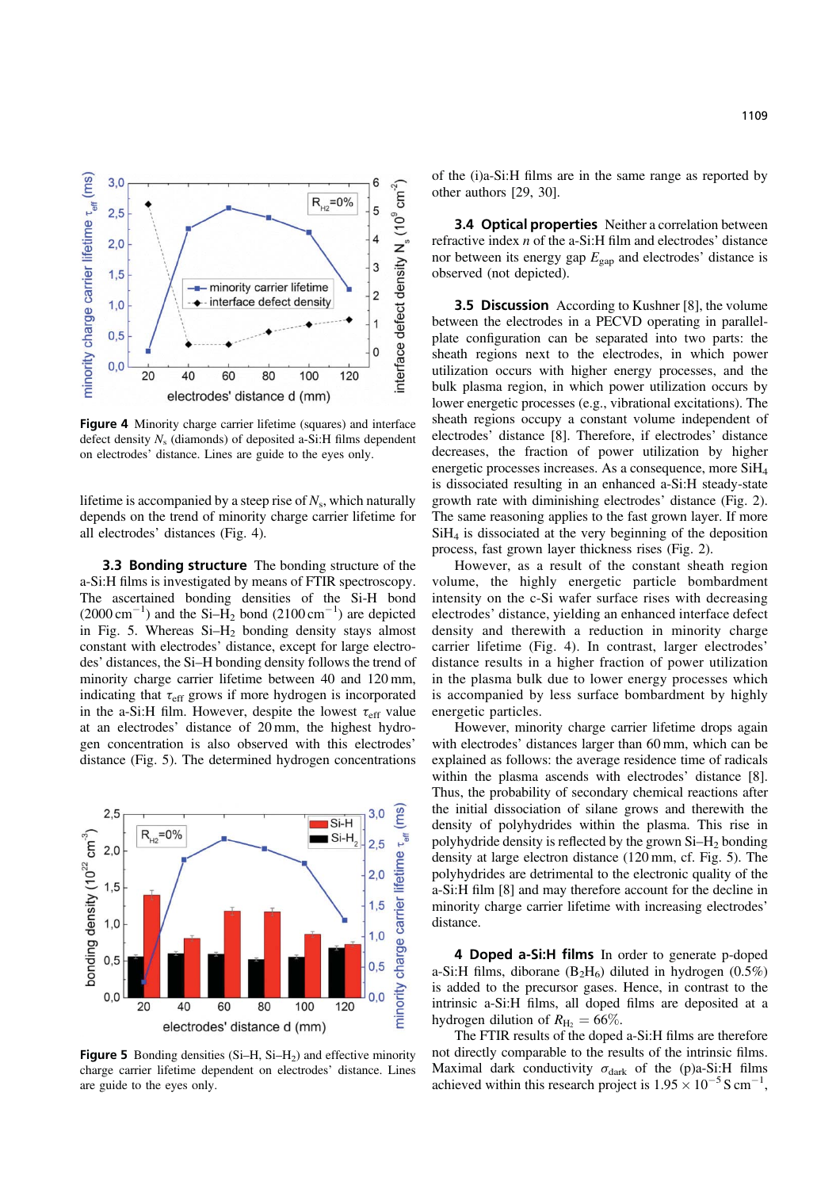

Figure 4 Minority charge carrier lifetime (squares) and interface defect density  $N_s$  (diamonds) of deposited a-Si:H films dependent on electrodes' distance. Lines are guide to the eyes only.

lifetime is accompanied by a steep rise of  $N_s$ , which naturally depends on the trend of minority charge carrier lifetime for all electrodes' distances (Fig. 4).

**3.3 Bonding structure** The bonding structure of the a-Si:H films is investigated by means of FTIR spectroscopy. The ascertained bonding densities of the Si-H bond  $(2000 \text{ cm}^{-1})$  and the Si-H<sub>2</sub> bond  $(2100 \text{ cm}^{-1})$  are depicted in Fig. 5. Whereas  $Si-H<sub>2</sub>$  bonding density stays almost constant with electrodes' distance, except for large electrodes' distances, the Si–H bonding density follows the trend of minority charge carrier lifetime between 40 and 120 mm, indicating that  $\tau_{\rm eff}$  grows if more hydrogen is incorporated in the a-Si:H film. However, despite the lowest  $\tau_{\text{eff}}$  value at an electrodes' distance of 20 mm, the highest hydrogen concentration is also observed with this electrodes' distance (Fig. 5). The determined hydrogen concentrations



**Figure 5** Bonding densities  $(Si-H, Si-H<sub>2</sub>)$  and effective minority charge carrier lifetime dependent on electrodes' distance. Lines are guide to the eyes only.

of the (i)a-Si:H films are in the same range as reported by other authors [29, 30].

3.4 Optical properties Neither a correlation between refractive index n of the a-Si:H film and electrodes' distance nor between its energy gap  $E_{\text{gap}}$  and electrodes' distance is observed (not depicted).

**3.5 Discussion** According to Kushner [8], the volume between the electrodes in a PECVD operating in parallelplate configuration can be separated into two parts: the sheath regions next to the electrodes, in which power utilization occurs with higher energy processes, and the bulk plasma region, in which power utilization occurs by lower energetic processes (e.g., vibrational excitations). The sheath regions occupy a constant volume independent of electrodes' distance [8]. Therefore, if electrodes' distance decreases, the fraction of power utilization by higher energetic processes increases. As a consequence, more SiH4 is dissociated resulting in an enhanced a-Si:H steady-state growth rate with diminishing electrodes' distance (Fig. 2). The same reasoning applies to the fast grown layer. If more  $SiH<sub>4</sub>$  is dissociated at the very beginning of the deposition process, fast grown layer thickness rises (Fig. 2).

However, as a result of the constant sheath region volume, the highly energetic particle bombardment intensity on the c-Si wafer surface rises with decreasing electrodes' distance, yielding an enhanced interface defect density and therewith a reduction in minority charge carrier lifetime (Fig. 4). In contrast, larger electrodes' distance results in a higher fraction of power utilization in the plasma bulk due to lower energy processes which is accompanied by less surface bombardment by highly energetic particles.

However, minority charge carrier lifetime drops again with electrodes' distances larger than 60 mm, which can be explained as follows: the average residence time of radicals within the plasma ascends with electrodes' distance [8]. Thus, the probability of secondary chemical reactions after the initial dissociation of silane grows and therewith the density of polyhydrides within the plasma. This rise in polyhydride density is reflected by the grown Si–H2 bonding density at large electron distance (120 mm, cf. Fig. 5). The polyhydrides are detrimental to the electronic quality of the a-Si:H film [8] and may therefore account for the decline in minority charge carrier lifetime with increasing electrodes' distance.

4 Doped a-Si:H films In order to generate p-doped a-Si:H films, diborane  $(B_2H_6)$  diluted in hydrogen  $(0.5\%)$ is added to the precursor gases. Hence, in contrast to the intrinsic a-Si:H films, all doped films are deposited at a hydrogen dilution of  $R_{\text{H}_2} = 66\%$ .

The FTIR results of the doped a-Si:H films are therefore not directly comparable to the results of the intrinsic films. Maximal dark conductivity  $\sigma_{dark}$  of the (p)a-Si:H films achieved within this research project is  $1.95 \times 10^{-5}$  S cm<sup>-1</sup>,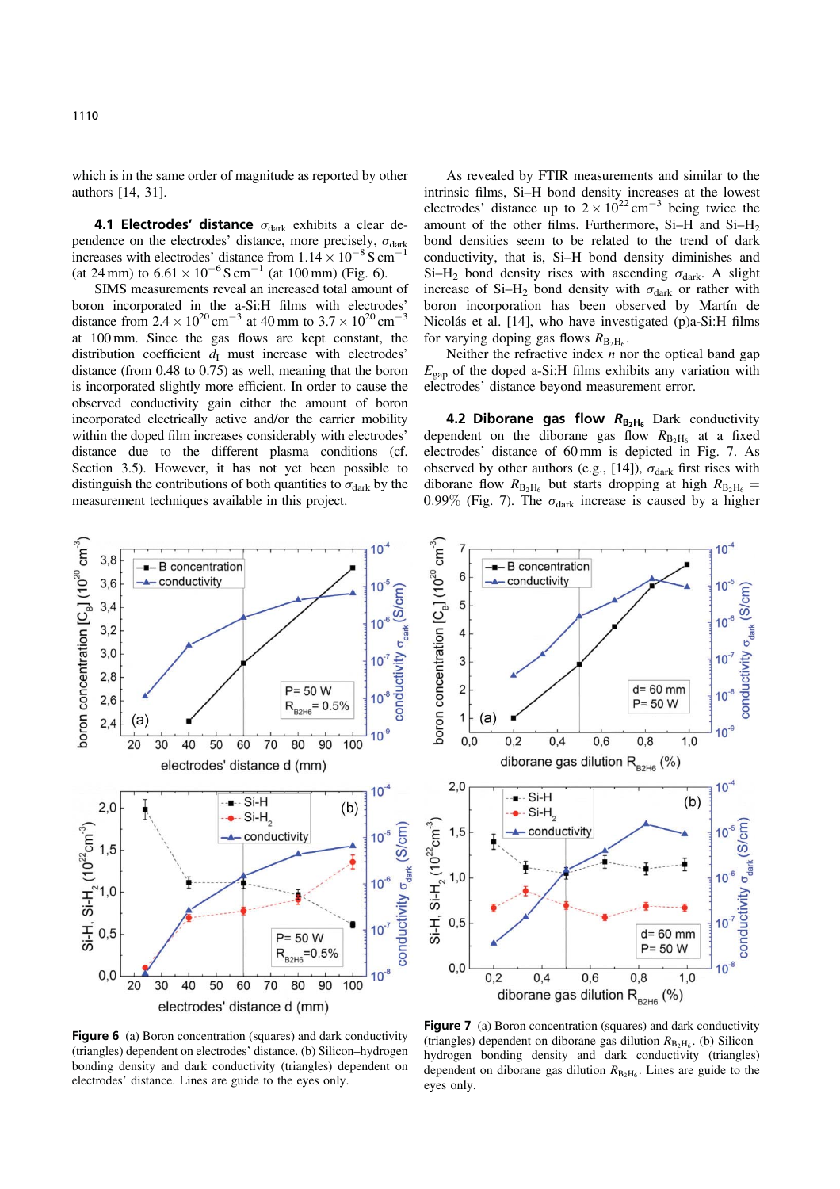which is in the same order of magnitude as reported by other authors [14, 31].

4.1 Electrodes' distance  $\sigma_{dark}$  exhibits a clear dependence on the electrodes' distance, more precisely,  $\sigma_{\text{dark}}$ increases with electrodes' distance from  $1.14 \times 10^{-8}$  S cm<sup>-</sup> (at 24 mm) to  $6.61 \times 10^{-6}$  S cm<sup>-1</sup> (at 100 mm) (Fig. 6).

SIMS measurements reveal an increased total amount of boron incorporated in the a-Si:H films with electrodes' distance from  $2.4 \times 10^{20}$  cm<sup>-3</sup> at 40 mm to  $3.7 \times 10^{20}$  cm<sup>-3</sup> at 100 mm. Since the gas flows are kept constant, the distribution coefficient  $\overline{d}_I$  must increase with electrodes' distance (from 0.48 to 0.75) as well, meaning that the boron is incorporated slightly more efficient. In order to cause the observed conductivity gain either the amount of boron incorporated electrically active and/or the carrier mobility within the doped film increases considerably with electrodes' distance due to the different plasma conditions (cf. Section 3.5). However, it has not yet been possible to distinguish the contributions of both quantities to  $\sigma_{\text{dark}}$  by the measurement techniques available in this project.

As revealed by FTIR measurements and similar to the intrinsic films, Si–H bond density increases at the lowest electrodes' distance up to  $2 \times 10^{22}$  cm<sup>-3</sup> being twice the amount of the other films. Furthermore,  $Si-H$  and  $Si-H<sub>2</sub>$ bond densities seem to be related to the trend of dark conductivity, that is, Si–H bond density diminishes and Si-H<sub>2</sub> bond density rises with ascending  $\sigma_{\text{dark}}$ . A slight increase of Si–H<sub>2</sub> bond density with  $\sigma_{dark}$  or rather with boron incorporation has been observed by Martín de Nicolás et al. [14], who have investigated (p)a-Si:H films for varying doping gas flows  $R_{\text{B}_2\text{H}_6}$ .

Neither the refractive index  $n$  nor the optical band gap  $E_{\text{gap}}$  of the doped a-Si:H films exhibits any variation with electrodes' distance beyond measurement error.

**4.2 Diborane gas flow**  $R_{B_2H_6}$  Dark conductivity dependent on the diborane gas flow  $R_{B_2H_6}$  at a fixed electrodes' distance of 60 mm is depicted in Fig. 7. As observed by other authors (e.g., [14]),  $\sigma_{\text{dark}}$  first rises with diborane flow  $R_{B_2H_6}$  but starts dropping at high  $R_{B_2H_6}$  = 0.99% (Fig. 7). The  $\sigma_{dark}$  increase is caused by a higher





Figure 6 (a) Boron concentration (squares) and dark conductivity (triangles) dependent on electrodes' distance. (b) Silicon–hydrogen bonding density and dark conductivity (triangles) dependent on electrodes' distance. Lines are guide to the eyes only.

Figure 7 (a) Boron concentration (squares) and dark conductivity (triangles) dependent on diborane gas dilution  $R_{B_2H_6}$ . (b) Silicon– hydrogen bonding density and dark conductivity (triangles) dependent on diborane gas dilution  $R_{B_2H_6}$ . Lines are guide to the eyes only.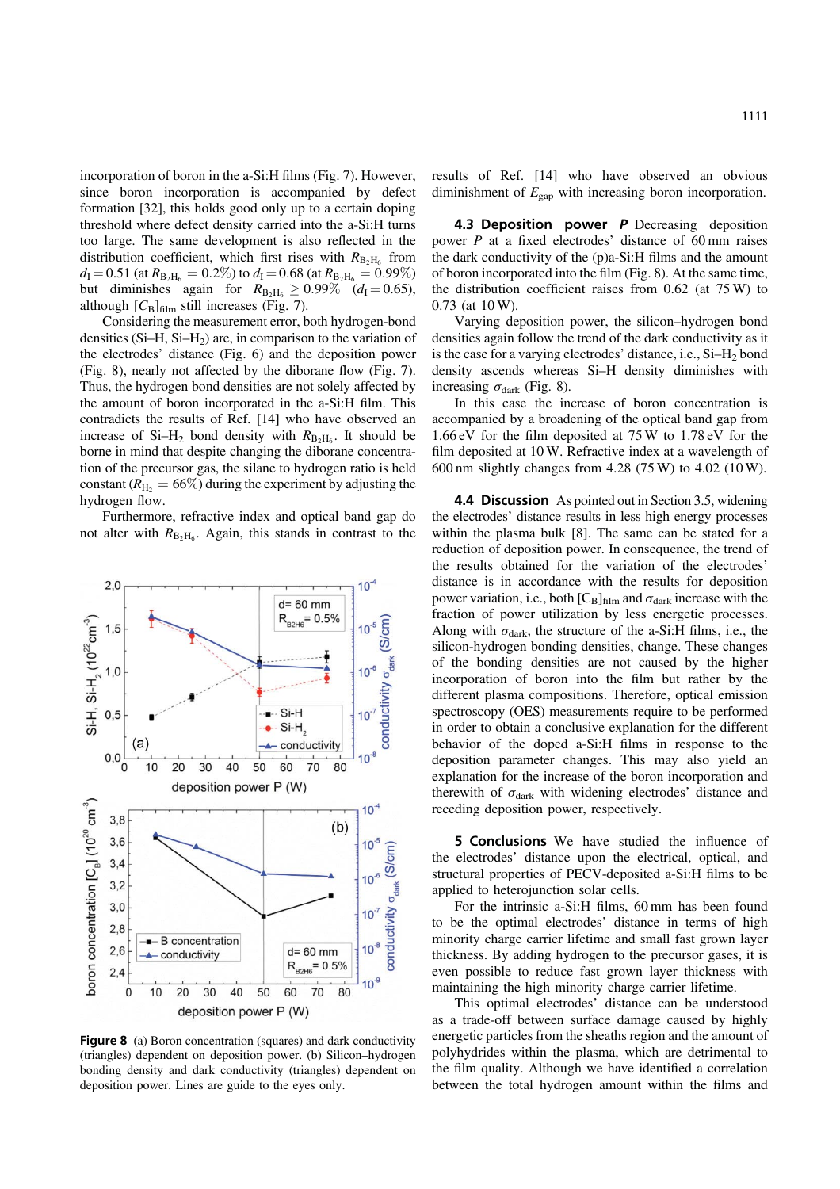incorporation of boron in the a-Si:H films (Fig. 7). However, since boron incorporation is accompanied by defect formation [32], this holds good only up to a certain doping threshold where defect density carried into the a-Si:H turns too large. The same development is also reflected in the distribution coefficient, which first rises with  $R_{\text{B}_2H_6}$  from  $d_{\rm I} = 0.51$  (at  $R_{\rm B_2H_6} = 0.2\%$ ) to  $d_{\rm I} = 0.68$  (at  $R_{\rm B_2H_6} = 0.99\%$ ) but diminishes again for  $R_{B_2H_6} \ge 0.99\%$  ( $d_I = 0.65$ ), although  $[C_B]_{\text{film}}$  still increases (Fig. 7).

Considering the measurement error, both hydrogen-bond densities  $(Si-H, Si-H<sub>2</sub>)$  are, in comparison to the variation of the electrodes' distance (Fig. 6) and the deposition power (Fig. 8), nearly not affected by the diborane flow (Fig. 7). Thus, the hydrogen bond densities are not solely affected by the amount of boron incorporated in the a-Si:H film. This contradicts the results of Ref. [14] who have observed an increase of Si–H<sub>2</sub> bond density with  $R_{B_2H_6}$ . It should be borne in mind that despite changing the diborane concentration of the precursor gas, the silane to hydrogen ratio is held constant ( $R_{\text{H}_2}$  = 66%) during the experiment by adjusting the hydrogen flow.

Furthermore, refractive index and optical band gap do not alter with  $R_{\rm B_2H_6}$ . Again, this stands in contrast to the



Figure 8 (a) Boron concentration (squares) and dark conductivity (triangles) dependent on deposition power. (b) Silicon–hydrogen bonding density and dark conductivity (triangles) dependent on deposition power. Lines are guide to the eyes only.

results of Ref. [14] who have observed an obvious diminishment of  $E_{\text{gap}}$  with increasing boron incorporation.

4.3 Deposition power P Decreasing deposition power P at a fixed electrodes' distance of 60 mm raises the dark conductivity of the (p)a-Si:H films and the amount of boron incorporated into the film (Fig. 8). At the same time, the distribution coefficient raises from 0.62 (at 75 W) to 0.73 (at 10 W).

Varying deposition power, the silicon–hydrogen bond densities again follow the trend of the dark conductivity as it is the case for a varying electrodes' distance, i.e.,  $Si-H<sub>2</sub>$  bond density ascends whereas Si–H density diminishes with increasing  $\sigma_{\text{dark}}$  (Fig. 8).

In this case the increase of boron concentration is accompanied by a broadening of the optical band gap from 1.66 eV for the film deposited at 75 W to 1.78 eV for the film deposited at 10 W. Refractive index at a wavelength of 600 nm slightly changes from 4.28 (75 W) to 4.02 (10 W).

4.4 Discussion As pointed out in Section 3.5, widening the electrodes' distance results in less high energy processes within the plasma bulk [8]. The same can be stated for a reduction of deposition power. In consequence, the trend of the results obtained for the variation of the electrodes' distance is in accordance with the results for deposition power variation, i.e., both  $[C_B]_{\text{film}}$  and  $\sigma_{\text{dark}}$  increase with the fraction of power utilization by less energetic processes. Along with  $\sigma_{dark}$ , the structure of the a-Si:H films, i.e., the silicon-hydrogen bonding densities, change. These changes of the bonding densities are not caused by the higher incorporation of boron into the film but rather by the different plasma compositions. Therefore, optical emission spectroscopy (OES) measurements require to be performed in order to obtain a conclusive explanation for the different behavior of the doped a-Si:H films in response to the deposition parameter changes. This may also yield an explanation for the increase of the boron incorporation and therewith of  $\sigma_{dark}$  with widening electrodes' distance and receding deposition power, respectively.

5 Conclusions We have studied the influence of the electrodes' distance upon the electrical, optical, and structural properties of PECV-deposited a-Si:H films to be applied to heterojunction solar cells.

For the intrinsic a-Si:H films, 60 mm has been found to be the optimal electrodes' distance in terms of high minority charge carrier lifetime and small fast grown layer thickness. By adding hydrogen to the precursor gases, it is even possible to reduce fast grown layer thickness with maintaining the high minority charge carrier lifetime.

This optimal electrodes' distance can be understood as a trade-off between surface damage caused by highly energetic particles from the sheaths region and the amount of polyhydrides within the plasma, which are detrimental to the film quality. Although we have identified a correlation between the total hydrogen amount within the films and